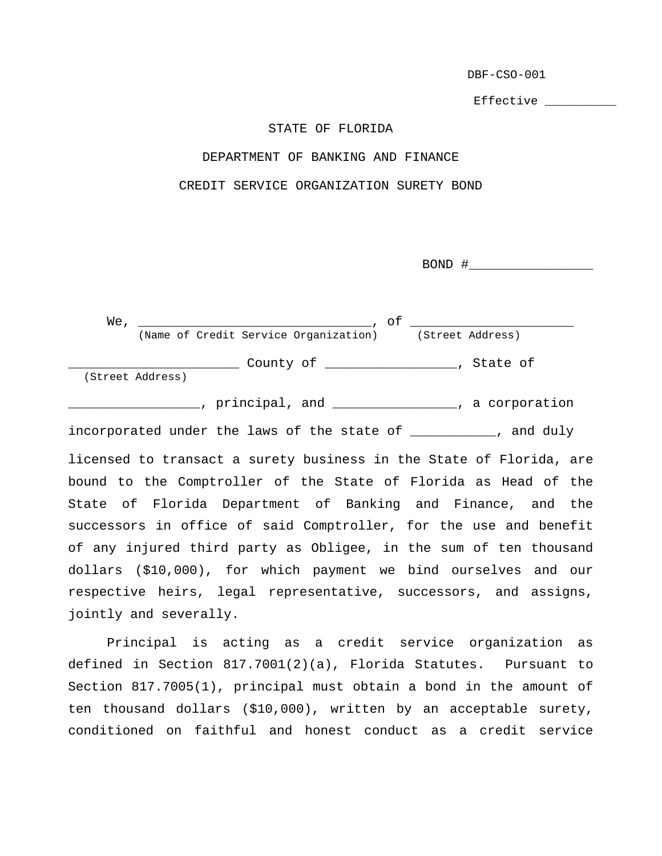DBF-CSO-001

Effective \_\_\_\_\_\_\_\_\_\_\_

## STATE OF FLORIDA

## DEPARTMENT OF BANKING AND FINANCE

CREDIT SERVICE ORGANIZATION SURETY BOND

 $BOND$   $\#$ 

 We, \_\_\_\_\_\_\_\_\_\_\_\_\_\_\_\_\_\_\_\_\_\_\_\_\_\_\_\_\_\_, of \_\_\_\_\_\_\_\_\_\_\_\_\_\_\_\_\_\_\_\_\_ (Name of Credit Service Organization) (Street Address) \_\_\_\_\_\_\_\_\_\_\_\_\_\_\_\_\_\_\_\_\_\_ County of \_\_\_\_\_\_\_\_\_\_\_\_\_\_\_\_\_, State of (Street Address) \_\_\_\_\_\_\_\_\_\_\_\_\_\_\_\_\_, principal, and \_\_\_\_\_\_\_\_\_\_\_\_\_\_\_\_, a corporation

incorporated under the laws of the state of \_\_\_\_\_\_\_\_\_\_\_, and duly licensed to transact a surety business in the State of Florida, are bound to the Comptroller of the State of Florida as Head of the State of Florida Department of Banking and Finance, and the successors in office of said Comptroller, for the use and benefit of any injured third party as Obligee, in the sum of ten thousand dollars (\$10,000), for which payment we bind ourselves and our respective heirs, legal representative, successors, and assigns, jointly and severally.

 Principal is acting as a credit service organization as defined in Section 817.7001(2)(a), Florida Statutes. Pursuant to Section 817.7005(1), principal must obtain a bond in the amount of ten thousand dollars (\$10,000), written by an acceptable surety, conditioned on faithful and honest conduct as a credit service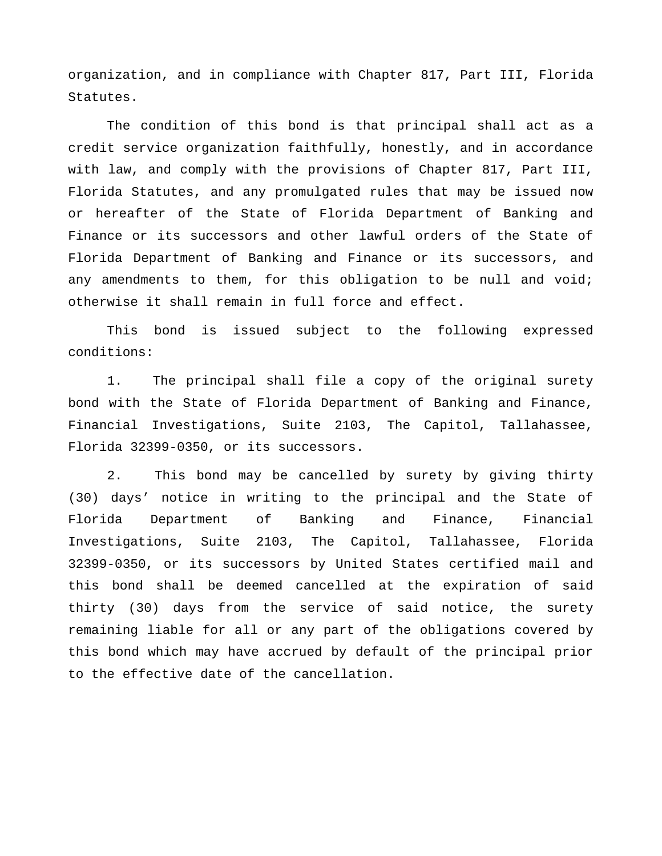organization, and in compliance with Chapter 817, Part III, Florida Statutes.

 The condition of this bond is that principal shall act as a credit service organization faithfully, honestly, and in accordance with law, and comply with the provisions of Chapter 817, Part III, Florida Statutes, and any promulgated rules that may be issued now or hereafter of the State of Florida Department of Banking and Finance or its successors and other lawful orders of the State of Florida Department of Banking and Finance or its successors, and any amendments to them, for this obligation to be null and void; otherwise it shall remain in full force and effect.

 This bond is issued subject to the following expressed conditions:

1. The principal shall file a copy of the original surety bond with the State of Florida Department of Banking and Finance, Financial Investigations, Suite 2103, The Capitol, Tallahassee, Florida 32399-0350, or its successors.

2. This bond may be cancelled by surety by giving thirty (30) days' notice in writing to the principal and the State of Florida Department of Banking and Finance, Financial Investigations, Suite 2103, The Capitol, Tallahassee, Florida 32399-0350, or its successors by United States certified mail and this bond shall be deemed cancelled at the expiration of said thirty (30) days from the service of said notice, the surety remaining liable for all or any part of the obligations covered by this bond which may have accrued by default of the principal prior to the effective date of the cancellation.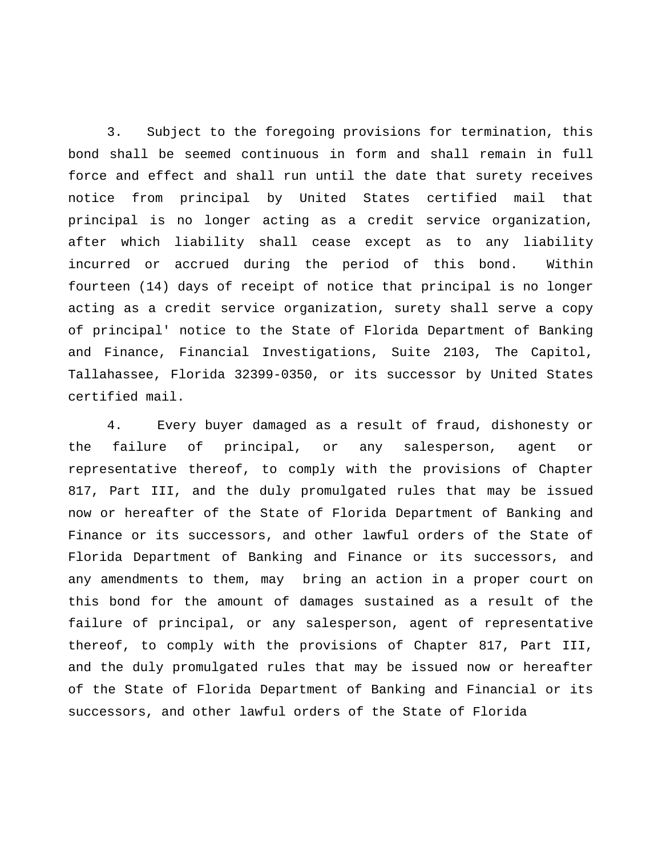3. Subject to the foregoing provisions for termination, this bond shall be seemed continuous in form and shall remain in full force and effect and shall run until the date that surety receives notice from principal by United States certified mail that principal is no longer acting as a credit service organization, after which liability shall cease except as to any liability incurred or accrued during the period of this bond. Within fourteen (14) days of receipt of notice that principal is no longer acting as a credit service organization, surety shall serve a copy of principal' notice to the State of Florida Department of Banking and Finance, Financial Investigations, Suite 2103, The Capitol, Tallahassee, Florida 32399-0350, or its successor by United States certified mail.

4. Every buyer damaged as a result of fraud, dishonesty or the failure of principal, or any salesperson, agent or representative thereof, to comply with the provisions of Chapter 817, Part III, and the duly promulgated rules that may be issued now or hereafter of the State of Florida Department of Banking and Finance or its successors, and other lawful orders of the State of Florida Department of Banking and Finance or its successors, and any amendments to them, may bring an action in a proper court on this bond for the amount of damages sustained as a result of the failure of principal, or any salesperson, agent of representative thereof, to comply with the provisions of Chapter 817, Part III, and the duly promulgated rules that may be issued now or hereafter of the State of Florida Department of Banking and Financial or its successors, and other lawful orders of the State of Florida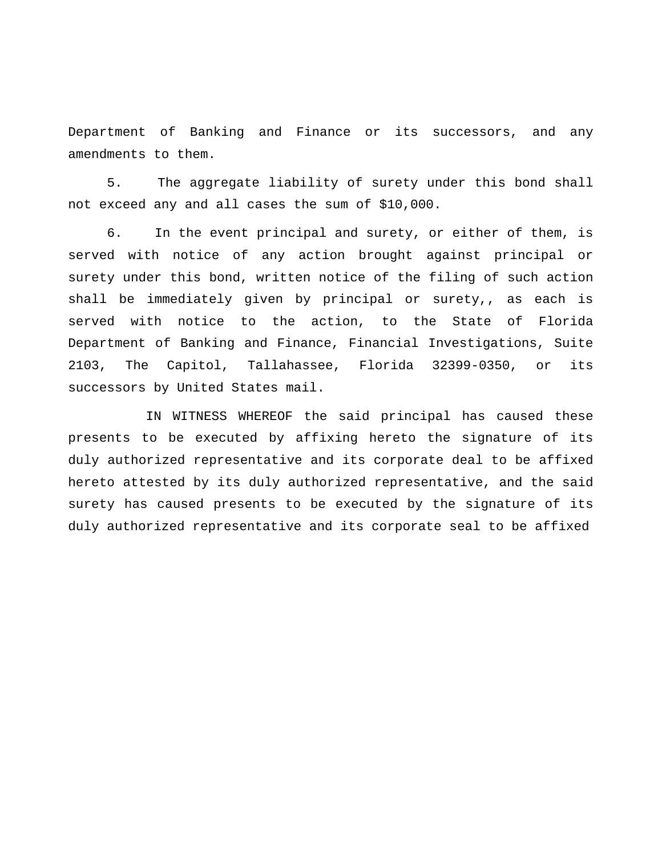Department of Banking and Finance or its successors, and any amendments to them.

5. The aggregate liability of surety under this bond shall not exceed any and all cases the sum of \$10,000.

6. In the event principal and surety, or either of them, is served with notice of any action brought against principal or surety under this bond, written notice of the filing of such action shall be immediately given by principal or surety,, as each is served with notice to the action, to the State of Florida Department of Banking and Finance, Financial Investigations, Suite 2103, The Capitol, Tallahassee, Florida 32399-0350, or its successors by United States mail.

 IN WITNESS WHEREOF the said principal has caused these presents to be executed by affixing hereto the signature of its duly authorized representative and its corporate deal to be affixed hereto attested by its duly authorized representative, and the said surety has caused presents to be executed by the signature of its duly authorized representative and its corporate seal to be affixed